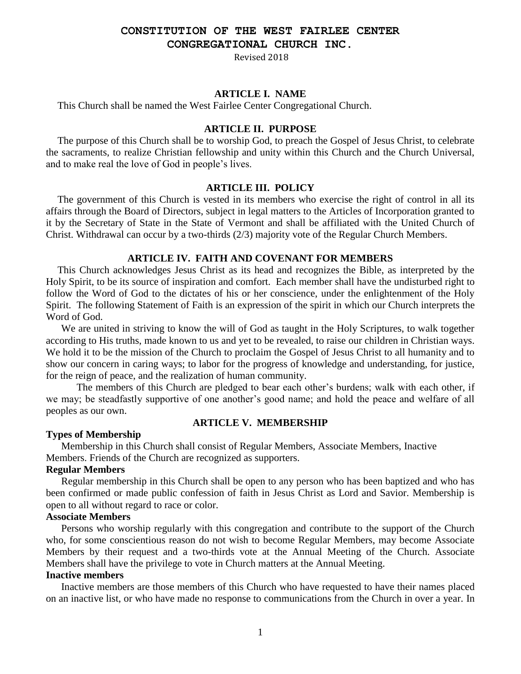# **CONSTITUTION OF THE WEST FAIRLEE CENTER**

**CONGREGATIONAL CHURCH INC.**

Revised 2018

## **ARTICLE I. NAME**

This Church shall be named the West Fairlee Center Congregational Church.

## **ARTICLE II. PURPOSE**

The purpose of this Church shall be to worship God, to preach the Gospel of Jesus Christ, to celebrate the sacraments, to realize Christian fellowship and unity within this Church and the Church Universal, and to make real the love of God in people's lives.

### **ARTICLE III. POLICY**

The government of this Church is vested in its members who exercise the right of control in all its affairs through the Board of Directors, subject in legal matters to the Articles of Incorporation granted to it by the Secretary of State in the State of Vermont and shall be affiliated with the United Church of Christ. Withdrawal can occur by a two-thirds (2/3) majority vote of the Regular Church Members.

## **ARTICLE IV. FAITH AND COVENANT FOR MEMBERS**

This Church acknowledges Jesus Christ as its head and recognizes the Bible, as interpreted by the Holy Spirit, to be its source of inspiration and comfort. Each member shall have the undisturbed right to follow the Word of God to the dictates of his or her conscience, under the enlightenment of the Holy Spirit. The following Statement of Faith is an expression of the spirit in which our Church interprets the Word of God.

We are united in striving to know the will of God as taught in the Holy Scriptures, to walk together according to His truths, made known to us and yet to be revealed, to raise our children in Christian ways. We hold it to be the mission of the Church to proclaim the Gospel of Jesus Christ to all humanity and to show our concern in caring ways; to labor for the progress of knowledge and understanding, for justice, for the reign of peace, and the realization of human community.

The members of this Church are pledged to bear each other's burdens; walk with each other, if we may; be steadfastly supportive of one another's good name; and hold the peace and welfare of all peoples as our own.

### **ARTICLE V. MEMBERSHIP**

## **Types of Membership**

Membership in this Church shall consist of Regular Members, Associate Members, Inactive Members. Friends of the Church are recognized as supporters.

## **Regular Members**

Regular membership in this Church shall be open to any person who has been baptized and who has been confirmed or made public confession of faith in Jesus Christ as Lord and Savior. Membership is open to all without regard to race or color.

### **Associate Members**

Persons who worship regularly with this congregation and contribute to the support of the Church who, for some conscientious reason do not wish to become Regular Members, may become Associate Members by their request and a two-thirds vote at the Annual Meeting of the Church. Associate Members shall have the privilege to vote in Church matters at the Annual Meeting.

## **Inactive members**

Inactive members are those members of this Church who have requested to have their names placed on an inactive list, or who have made no response to communications from the Church in over a year. In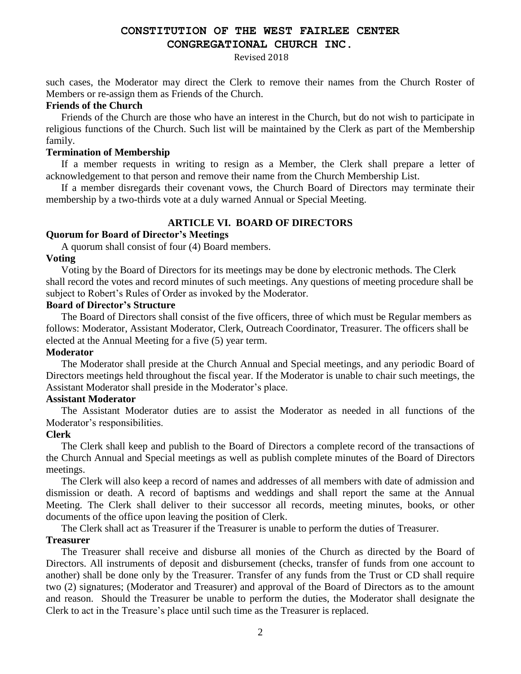## **CONSTITUTION OF THE WEST FAIRLEE CENTER CONGREGATIONAL CHURCH INC.**

#### Revised 2018

such cases, the Moderator may direct the Clerk to remove their names from the Church Roster of Members or re-assign them as Friends of the Church.

### **Friends of the Church**

Friends of the Church are those who have an interest in the Church, but do not wish to participate in religious functions of the Church. Such list will be maintained by the Clerk as part of the Membership family.

## **Termination of Membership**

If a member requests in writing to resign as a Member, the Clerk shall prepare a letter of acknowledgement to that person and remove their name from the Church Membership List.

If a member disregards their covenant vows, the Church Board of Directors may terminate their membership by a two-thirds vote at a duly warned Annual or Special Meeting.

## **ARTICLE VI. BOARD OF DIRECTORS**

## **Quorum for Board of Director's Meetings**

A quorum shall consist of four (4) Board members.

## **Voting**

Voting by the Board of Directors for its meetings may be done by electronic methods. The Clerk shall record the votes and record minutes of such meetings. Any questions of meeting procedure shall be subject to Robert's Rules of Order as invoked by the Moderator.

## **Board of Director's Structure**

The Board of Directors shall consist of the five officers, three of which must be Regular members as follows: Moderator, Assistant Moderator, Clerk, Outreach Coordinator, Treasurer. The officers shall be elected at the Annual Meeting for a five (5) year term.

## **Moderator**

The Moderator shall preside at the Church Annual and Special meetings, and any periodic Board of Directors meetings held throughout the fiscal year. If the Moderator is unable to chair such meetings, the Assistant Moderator shall preside in the Moderator's place.

## **Assistant Moderator**

The Assistant Moderator duties are to assist the Moderator as needed in all functions of the Moderator's responsibilities.

## **Clerk**

The Clerk shall keep and publish to the Board of Directors a complete record of the transactions of the Church Annual and Special meetings as well as publish complete minutes of the Board of Directors meetings.

The Clerk will also keep a record of names and addresses of all members with date of admission and dismission or death. A record of baptisms and weddings and shall report the same at the Annual Meeting. The Clerk shall deliver to their successor all records, meeting minutes, books, or other documents of the office upon leaving the position of Clerk.

The Clerk shall act as Treasurer if the Treasurer is unable to perform the duties of Treasurer.

## **Treasurer**

The Treasurer shall receive and disburse all monies of the Church as directed by the Board of Directors. All instruments of deposit and disbursement (checks, transfer of funds from one account to another) shall be done only by the Treasurer. Transfer of any funds from the Trust or CD shall require two (2) signatures; (Moderator and Treasurer) and approval of the Board of Directors as to the amount and reason. Should the Treasurer be unable to perform the duties, the Moderator shall designate the Clerk to act in the Treasure's place until such time as the Treasurer is replaced.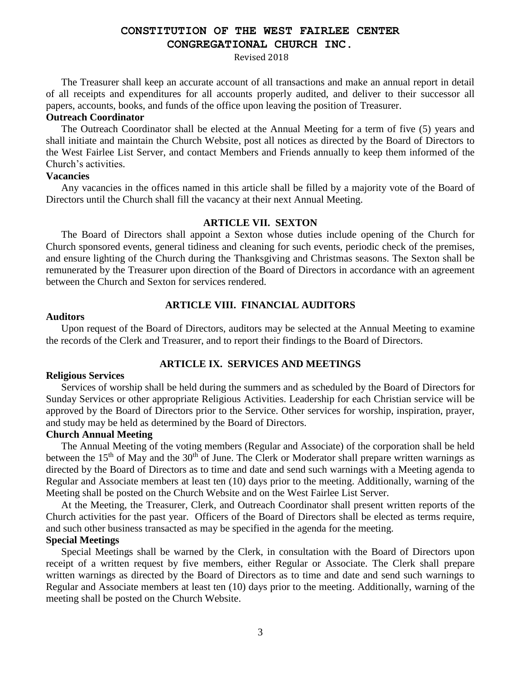## **CONSTITUTION OF THE WEST FAIRLEE CENTER CONGREGATIONAL CHURCH INC.**

#### Revised 2018

The Treasurer shall keep an accurate account of all transactions and make an annual report in detail of all receipts and expenditures for all accounts properly audited, and deliver to their successor all papers, accounts, books, and funds of the office upon leaving the position of Treasurer.

## **Outreach Coordinator**

The Outreach Coordinator shall be elected at the Annual Meeting for a term of five (5) years and shall initiate and maintain the Church Website, post all notices as directed by the Board of Directors to the West Fairlee List Server, and contact Members and Friends annually to keep them informed of the Church's activities.

### **Vacancies**

Any vacancies in the offices named in this article shall be filled by a majority vote of the Board of Directors until the Church shall fill the vacancy at their next Annual Meeting.

### **ARTICLE VII. SEXTON**

The Board of Directors shall appoint a Sexton whose duties include opening of the Church for Church sponsored events, general tidiness and cleaning for such events, periodic check of the premises, and ensure lighting of the Church during the Thanksgiving and Christmas seasons. The Sexton shall be remunerated by the Treasurer upon direction of the Board of Directors in accordance with an agreement between the Church and Sexton for services rendered.

## **ARTICLE VIII. FINANCIAL AUDITORS**

### **Auditors**

Upon request of the Board of Directors, auditors may be selected at the Annual Meeting to examine the records of the Clerk and Treasurer, and to report their findings to the Board of Directors.

## **ARTICLE IX. SERVICES AND MEETINGS**

#### **Religious Services**

Services of worship shall be held during the summers and as scheduled by the Board of Directors for Sunday Services or other appropriate Religious Activities. Leadership for each Christian service will be approved by the Board of Directors prior to the Service. Other services for worship, inspiration, prayer, and study may be held as determined by the Board of Directors.

## **Church Annual Meeting**

The Annual Meeting of the voting members (Regular and Associate) of the corporation shall be held between the  $15<sup>th</sup>$  of May and the  $30<sup>th</sup>$  of June. The Clerk or Moderator shall prepare written warnings as directed by the Board of Directors as to time and date and send such warnings with a Meeting agenda to Regular and Associate members at least ten (10) days prior to the meeting. Additionally, warning of the Meeting shall be posted on the Church Website and on the West Fairlee List Server.

At the Meeting, the Treasurer, Clerk, and Outreach Coordinator shall present written reports of the Church activities for the past year. Officers of the Board of Directors shall be elected as terms require, and such other business transacted as may be specified in the agenda for the meeting.

## **Special Meetings**

Special Meetings shall be warned by the Clerk, in consultation with the Board of Directors upon receipt of a written request by five members, either Regular or Associate. The Clerk shall prepare written warnings as directed by the Board of Directors as to time and date and send such warnings to Regular and Associate members at least ten (10) days prior to the meeting. Additionally, warning of the meeting shall be posted on the Church Website.